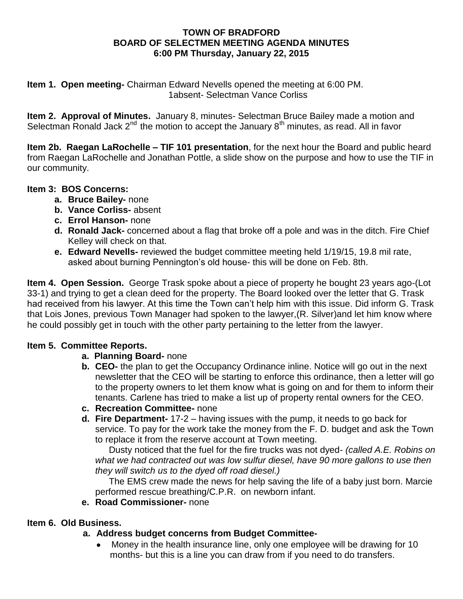### **TOWN OF BRADFORD BOARD OF SELECTMEN MEETING AGENDA MINUTES 6:00 PM Thursday, January 22, 2015**

**Item 1. Open meeting-** Chairman Edward Nevells opened the meeting at 6:00 PM. 1absent- Selectman Vance Corliss

**Item 2. Approval of Minutes.** January 8, minutes- Selectman Bruce Bailey made a motion and Selectman Ronald Jack  $2^{nd}$  the motion to accept the January  $8^{th}$  minutes, as read. All in favor

**Item 2b. Raegan LaRochelle – TIF 101 presentation**, for the next hour the Board and public heard from Raegan LaRochelle and Jonathan Pottle, a slide show on the purpose and how to use the TIF in our community.

# **Item 3: BOS Concerns:**

- **a. Bruce Bailey-** none
- **b. Vance Corliss-** absent
- **c. Errol Hanson-** none
- **d. Ronald Jack-** concerned about a flag that broke off a pole and was in the ditch. Fire Chief Kelley will check on that.
- **e. Edward Nevells-** reviewed the budget committee meeting held 1/19/15, 19.8 mil rate, asked about burning Pennington's old house- this will be done on Feb. 8th.

**Item 4. Open Session.** George Trask spoke about a piece of property he bought 23 years ago-(Lot 33-1) and trying to get a clean deed for the property. The Board looked over the letter that G. Trask had received from his lawyer. At this time the Town can't help him with this issue. Did inform G. Trask that Lois Jones, previous Town Manager had spoken to the lawyer,(R. Silver)and let him know where he could possibly get in touch with the other party pertaining to the letter from the lawyer.

# **Item 5. Committee Reports.**

### **a. Planning Board-** none

- **b. CEO-** the plan to get the Occupancy Ordinance inline. Notice will go out in the next newsletter that the CEO will be starting to enforce this ordinance, then a letter will go to the property owners to let them know what is going on and for them to inform their tenants. Carlene has tried to make a list up of property rental owners for the CEO.
- **c. Recreation Committee-** none
- **d. Fire Department-** 17-2 having issues with the pump, it needs to go back for service. To pay for the work take the money from the F. D. budget and ask the Town to replace it from the reserve account at Town meeting.

Dusty noticed that the fuel for the fire trucks was not dyed- *(called A.E. Robins on what we had contracted out was low sulfur diesel, have 90 more gallons to use then they will switch us to the dyed off road diesel.)*

The EMS crew made the news for help saving the life of a baby just born. Marcie performed rescue breathing/C.P.R. on newborn infant.

**e. Road Commissioner-** none

### **Item 6. Old Business.**

# **a. Address budget concerns from Budget Committee-**

 Money in the health insurance line, only one employee will be drawing for 10 months- but this is a line you can draw from if you need to do transfers.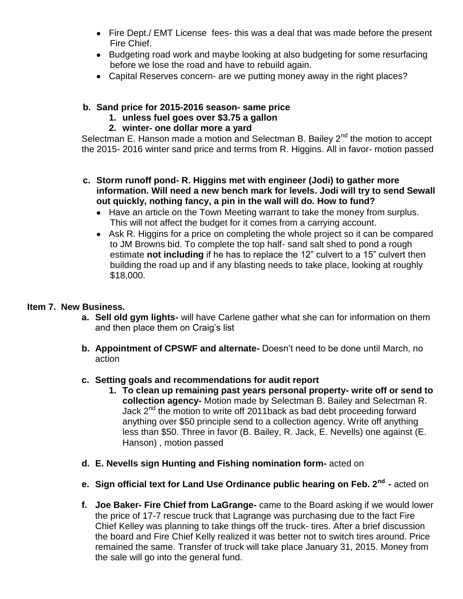- Fire Dept./ EMT License fees- this was a deal that was made before the present Fire Chief.
- Budgeting road work and maybe looking at also budgeting for some resurfacing before we lose the road and have to rebuild again.
- Capital Reserves concern- are we putting money away in the right places?

## **b. Sand price for 2015-2016 season- same price**

**1. unless fuel goes over \$3.75 a gallon**

## **2. winter- one dollar more a yard**

Selectman E. Hanson made a motion and Selectman B. Bailey  $2<sup>nd</sup>$  the motion to accept the 2015- 2016 winter sand price and terms from R. Higgins. All in favor- motion passed

- **c. Storm runoff pond- R. Higgins met with engineer (Jodi) to gather more information. Will need a new bench mark for levels. Jodi will try to send Sewall out quickly, nothing fancy, a pin in the wall will do. How to fund?**
	- Have an article on the Town Meeting warrant to take the money from surplus. This will not affect the budget for it comes from a carrying account.
	- Ask R. Higgins for a price on completing the whole project so it can be compared to JM Browns bid. To complete the top half- sand salt shed to pond a rough estimate **not including** if he has to replace the 12" culvert to a 15" culvert then building the road up and if any blasting needs to take place, looking at roughly \$18,000.

### **Item 7. New Business.**

- **a. Sell old gym lights-** will have Carlene gather what she can for information on them and then place them on Craig's list
- **b. Appointment of CPSWF and alternate-** Doesn't need to be done until March, no action
- **c. Setting goals and recommendations for audit report**
	- **1. To clean up remaining past years personal property- write off or send to collection agency-** Motion made by Selectman B. Bailey and Selectman R. Jack  $2^{nd}$  the motion to write off 2011back as bad debt proceeding forward anything over \$50 principle send to a collection agency. Write off anything less than \$50. Three in favor (B. Bailey, R. Jack, E. Nevells) one against (E. Hanson) , motion passed
- **d. E. Nevells sign Hunting and Fishing nomination form-** acted on
- **e. Sign official text for Land Use Ordinance public hearing on Feb. 2nd -** acted on
- **f. Joe Baker- Fire Chief from LaGrange-** came to the Board asking if we would lower the price of 17-7 rescue truck that Lagrange was purchasing due to the fact Fire Chief Kelley was planning to take things off the truck- tires. After a brief discussion the board and Fire Chief Kelly realized it was better not to switch tires around. Price remained the same. Transfer of truck will take place January 31, 2015. Money from the sale will go into the general fund.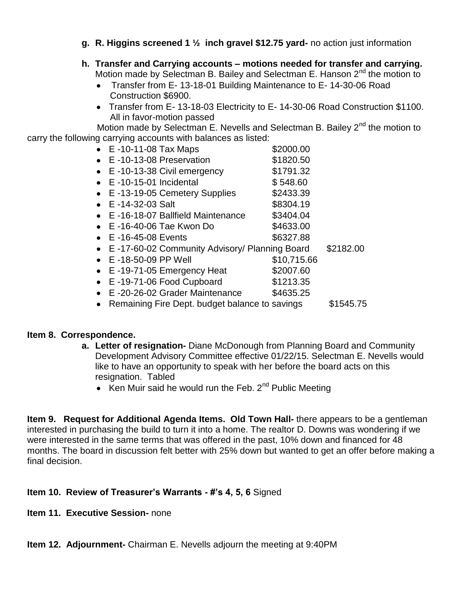- **g. R. Higgins screened 1 ½ inch gravel \$12.75 yard-** no action just information
- **h. Transfer and Carrying accounts – motions needed for transfer and carrying.**  Motion made by Selectman B. Bailey and Selectman E. Hanson  $2<sup>nd</sup>$  the motion to
	- Transfer from E- 13-18-01 Building Maintenance to E- 14-30-06 Road Construction \$6900.
	- Transfer from E- 13-18-03 Electricity to E- 14-30-06 Road Construction \$1100. All in favor-motion passed

Motion made by Selectman E. Nevells and Selectman B. Bailey 2<sup>nd</sup> the motion to carry the following carrying accounts with balances as listed:

|           | $\bullet$ E -10-11-08 Tax Maps                  | \$2000.00   |           |
|-----------|-------------------------------------------------|-------------|-----------|
|           |                                                 |             |           |
|           | • E-10-13-08 Preservation                       | \$1820.50   |           |
|           | $\bullet$ E -10-13-38 Civil emergency           | \$1791.32   |           |
|           | $\bullet$ E -10-15-01 Incidental                | \$548.60    |           |
|           | • E-13-19-05 Cemetery Supplies                  | \$2433.39   |           |
|           | $\bullet$ E -14-32-03 Salt                      | \$8304.19   |           |
|           | • E-16-18-07 Ballfield Maintenance              | \$3404.04   |           |
|           | $\bullet$ E -16-40-06 Tae Kwon Do               | \$4633.00   |           |
|           | $\bullet$ E -16-45-08 Events                    | \$6327.88   |           |
|           | • E-17-60-02 Community Advisory/ Planning Board |             | \$2182.00 |
|           | $\bullet$ E -18-50-09 PP Well                   | \$10,715.66 |           |
|           | • E-19-71-05 Emergency Heat                     | \$2007.60   |           |
|           | • E-19-71-06 Food Cupboard                      | \$1213.35   |           |
| $\bullet$ | E-20-26-02 Grader Maintenance                   | \$4635.25   |           |
| $\bullet$ | Remaining Fire Dept. budget balance to savings  |             | \$1545.75 |
|           |                                                 |             |           |

### **Item 8. Correspondence.**

- **a. Letter of resignation-** Diane McDonough from Planning Board and Community Development Advisory Committee effective 01/22/15. Selectman E. Nevells would like to have an opportunity to speak with her before the board acts on this resignation. Tabled
	- Ken Muir said he would run the Feb.  $2^{nd}$  Public Meeting

**Item 9. Request for Additional Agenda Items. Old Town Hall-** there appears to be a gentleman interested in purchasing the build to turn it into a home. The realtor D. Downs was wondering if we were interested in the same terms that was offered in the past, 10% down and financed for 48 months. The board in discussion felt better with 25% down but wanted to get an offer before making a final decision.

### **Item 10. Review of Treasurer's Warrants - #'s 4, 5, 6** Signed

**Item 11. Executive Session-** none

**Item 12. Adjournment-** Chairman E. Nevells adjourn the meeting at 9:40PM